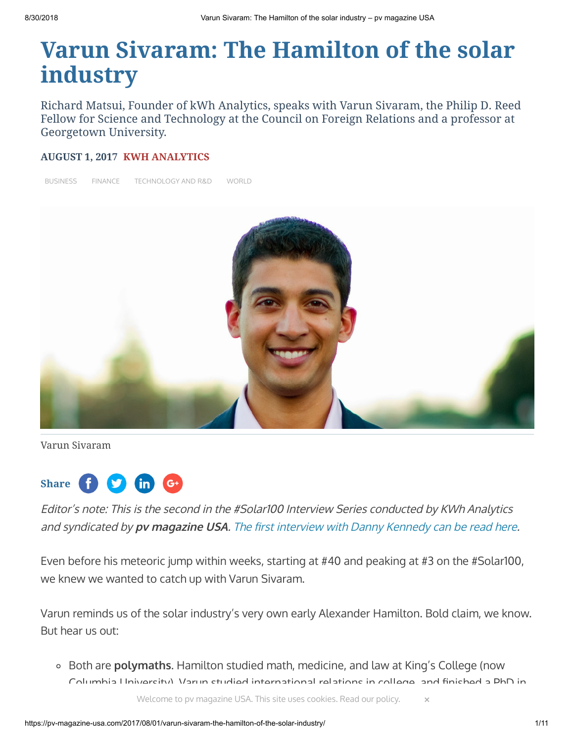# **Varun Sivaram: The Hamilton of the solar industry**

Richard Matsui, Founder of kWh Analytics, speaks with Varun Sivaram, the Philip D. Reed Fellow for Science and Technology at the Council on Foreign Relations and a professor at Georgetown University.

#### **AUGUST 1, 2017 [KWH ANALYTICS](https://pv-magazine-usa.com/author/sarahmatsui/)**

[BUSINESS](https://pv-magazine-usa.com/category/markets-policy/business/) [FINANCE](https://pv-magazine-usa.com/category/markets-policy/finance/) [TECHNOLOGY](https://pv-magazine-usa.com/category/technology/technology-and-r-d/) AND R&D [WORLD](https://pv-magazine-usa.com/region/world/)



Varun Sivaram



Editor's note: This is the second in the #Solar100 Interview Series conducted by KWh Analytics and syndicated by pv magazine USA. The first interview with Danny Kennedy can be read here.

Even before his meteoric jump within weeks, starting at #40 and peaking at #3 on the #Solar100, we knew we wanted to catch up with Varun Sivaram.

Varun reminds us of the solar industry's very own early Alexander Hamilton. Bold claim, we know. But hear us out:

Both are **polymaths**. Hamilton studied math, medicine, and law at King's College (now  $C$ olumbia University). Varun studied international relations in college, and finished a DhD in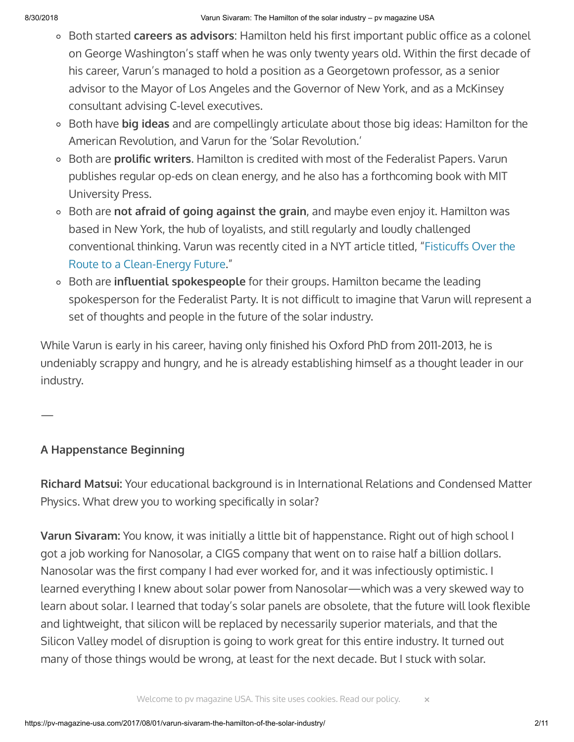- $\circ$  Both started **careers as advisors**: Hamilton held his first important public office as a colonel on George Washington's staff when he was only twenty years old. Within the first decade of his career, Varun's managed to hold a position as a Georgetown professor, as a senior advisor to the Mayor of Los Angeles and the Governor of New York, and as a McKinsey consultant advising C-level executives.
- Both have **big ideas** and are compellingly articulate about those big ideas: Hamilton for the American Revolution, and Varun for the 'Solar Revolution.'
- <sup>o</sup> Both are **prolific writers**. Hamilton is credited with most of the Federalist Papers. Varun publishes regular op-eds on clean energy, and he also has a forthcoming book with MIT University Press.
- Both are **not afraid of going against the grain**, and maybe even enjoy it. Hamilton was based in New York, the hub of loyalists, and still regularly and loudly challenged conventional thinking. Varun was recently cited in a NYT article titled, "Fisticuffs Over the Route to a Clean-Energy Future."
- **Both are influential spokespeople** for their groups. Hamilton became the leading spokesperson for the Federalist Party. It is not difficult to imagine that Varun will represent a set of thoughts and people in the future of the solar industry.

While Varun is early in his career, having only finished his Oxford PhD from 2011-2013, he is undeniably scrappy and hungry, and he is already establishing himself as a thought leader in our industry.

# **A Happenstance Beginning**

—

**Richard Matsui:** Your educational background is in International Relations and Condensed Matter Physics. What drew you to working specifically in solar?

**Varun Sivaram:** You know, it was initially a little bit of happenstance. Right out of high school I got a job working for Nanosolar, a CIGS company that went on to raise half a billion dollars. Nanosolar was the first company I had ever worked for, and it was infectiously optimistic. I learned everything I knew about solar power from Nanosolar—which was a very skewed way to learn about solar. I learned that today's solar panels are obsolete, that the future will look flexible and lightweight, that silicon will be replaced by necessarily superior materials, and that the Silicon Valley model of disruption is going to work great for this entire industry. It turned out many of those things would be wrong, at least for the next decade. But I stuck with solar.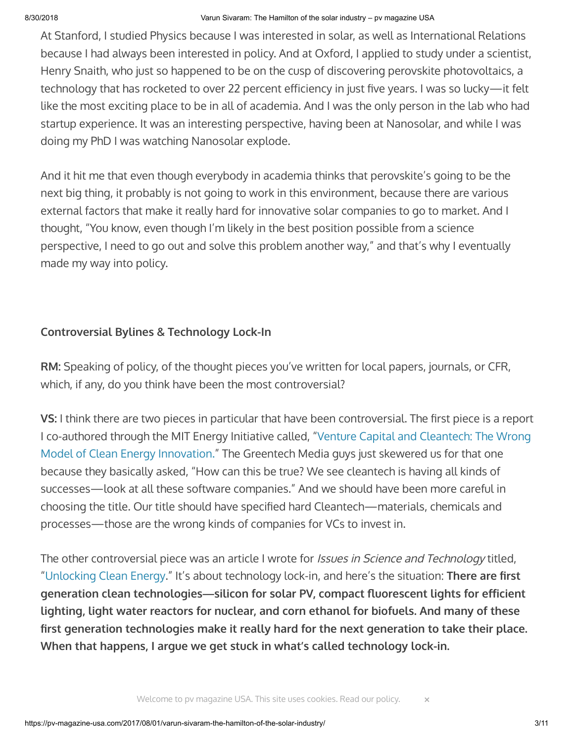At Stanford, I studied Physics because I was interested in solar, as well as International Relations because I had always been interested in policy. And at Oxford, I applied to study under a scientist, Henry Snaith, who just so happened to be on the cusp of discovering perovskite photovoltaics, a technology that has rocketed to over 22 percent efficiency in just five years. I was so lucky—it felt like the most exciting place to be in all of academia. And I was the only person in the lab who had startup experience. It was an interesting perspective, having been at Nanosolar, and while I was doing my PhD I was watching Nanosolar explode.

And it hit me that even though everybody in academia thinks that perovskite's going to be the next big thing, it probably is not going to work in this environment, because there are various external factors that make it really hard for innovative solar companies to go to market. And I thought, "You know, even though I'm likely in the best position possible from a science perspective, I need to go out and solve this problem another way," and that's why I eventually made my way into policy.

#### **Controversial Bylines & Technology Lock-In**

**RM:** Speaking of policy, of the thought pieces you've written for local papers, journals, or CFR, which, if any, do you think have been the most controversial?

**VS:** I think there are two pieces in particular that have been controversial. The first piece is a report [I co-authored through the MIT Energy Initiative called, "Venture Capital and Cleantech: The Wrong](http://energy.mit.edu/publication/venture-capital-cleantech/) Model of Clean Energy Innovation." The Greentech Media guys just skewered us for that one because they basically asked, "How can this be true? We see cleantech is having all kinds of successes—look at all these software companies." And we should have been more careful in choosing the title. Our title should have specified hard Cleantech—materials, chemicals and processes—those are the wrong kinds of companies for VCs to invest in.

The other controversial piece was an article I wrote for *Issues in Science and Technology* titled, ["Unlocking Clean Energy.](http://issues.org/33-2/unlocking-clean-energy/)" It's about technology lock-in, and here's the situation: **There are first** generation clean technologies—silicon for solar PV, compact fluorescent lights for efficient **lighting, light water reactors for nuclear, and corn ethanol for biofuels. And many of these** first generation technologies make it really hard for the next generation to take their place. **When that happens, I argue we get stuck in what's called technology lock-in.**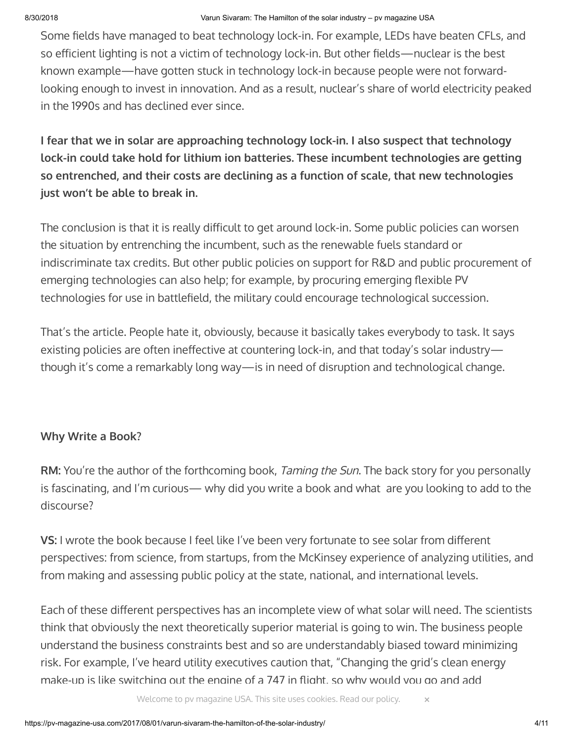Some fields have managed to beat technology lock-in. For example, LEDs have beaten CFLs, and so efficient lighting is not a victim of technology lock-in. But other fields—nuclear is the best known example—have gotten stuck in technology lock-in because people were not forwardlooking enough to invest in innovation. And as a result, nuclear's share of world electricity peaked in the 1990s and has declined ever since.

**I fear that we in solar are approaching technology lock-in. I also suspect that technology lock-in could take hold for lithium ion batteries. These incumbent technologies are getting so entrenched, and their costs are declining as a function of scale, that new technologies just won't be able to break in.**

The conclusion is that it is really difficult to get around lock-in. Some public policies can worsen the situation by entrenching the incumbent, such as the renewable fuels standard or indiscriminate tax credits. But other public policies on support for R&D and public procurement of emerging technologies can also help; for example, by procuring emerging flexible PV technologies for use in battlefield, the military could encourage technological succession.

That's the article. People hate it, obviously, because it basically takes everybody to task. It says existing policies are often ineffective at countering lock-in, and that today's solar industrythough it's come a remarkably long way—is in need of disruption and technological change.

# **Why Write a Book?**

**RM:** You're the author of the forthcoming book, Taming the Sun. The back story for you personally is fascinating, and I'm curious— why did you write a book and what are you looking to add to the discourse?

**VS:** I wrote the book because I feel like I've been very fortunate to see solar from different perspectives: from science, from startups, from the McKinsey experience of analyzing utilities, and from making and assessing public policy at the state, national, and international levels.

Each of these different perspectives has an incomplete view of what solar will need. The scientists think that obviously the next theoretically superior material is going to win. The business people understand the business constraints best and so are understandably biased toward minimizing risk. For example, I've heard utility executives caution that, "Changing the grid's clean energy make-up is like switching out the engine of a 747 in flight, so why would you go and add

Welcome to pv magazine USA. This site uses cookies. [Read our policy.](https://www.pv-magazine.com/privacy-policy/)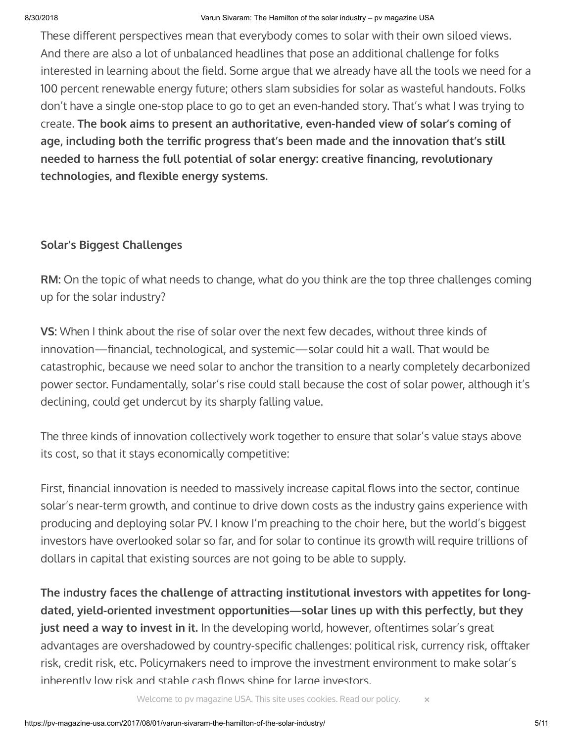These different perspectives mean that everybody comes to solar with their own siloed views. And there are also a lot of unbalanced headlines that pose an additional challenge for folks interested in learning about the field. Some argue that we already have all the tools we need for a 100 percent renewable energy future; others slam subsidies for solar as wasteful handouts. Folks don't have a single one-stop place to go to get an even-handed story. That's what I was trying to create. **The book aims to present an authoritative, even-handed view of solar's coming of** age, including both the terrific progress that's been made and the innovation that's still **needed to harness the full potential of solar energy: creative financing, revolutionary** technologies, and flexible energy systems.

# **Solar's Biggest Challenges**

**RM:** On the topic of what needs to change, what do you think are the top three challenges coming up for the solar industry?

**VS:** When I think about the rise of solar over the next few decades, without three kinds of innovation—financial, technological, and systemic—solar could hit a wall. That would be catastrophic, because we need solar to anchor the transition to a nearly completely decarbonized power sector. Fundamentally, solar's rise could stall because the cost of solar power, although it's declining, could get undercut by its sharply falling value.

The three kinds of innovation collectively work together to ensure that solar's value stays above its cost, so that it stays economically competitive:

First, financial innovation is needed to massively increase capital flows into the sector, continue solar's near-term growth, and continue to drive down costs as the industry gains experience with producing and deploying solar PV. I know I'm preaching to the choir here, but the world's biggest investors have overlooked solar so far, and for solar to continue its growth will require trillions of dollars in capital that existing sources are not going to be able to supply.

**The industry faces the challenge of attracting institutional investors with appetites for longdated, yield-oriented investment opportunities—solar lines up with this perfectly, but they just need a way to invest in it.** In the developing world, however, oftentimes solar's great advantages are overshadowed by country-specific challenges: political risk, currency risk, offtaker risk, credit risk, etc. Policymakers need to improve the investment environment to make solar's inherently low risk and stable cash flows shine for large investors.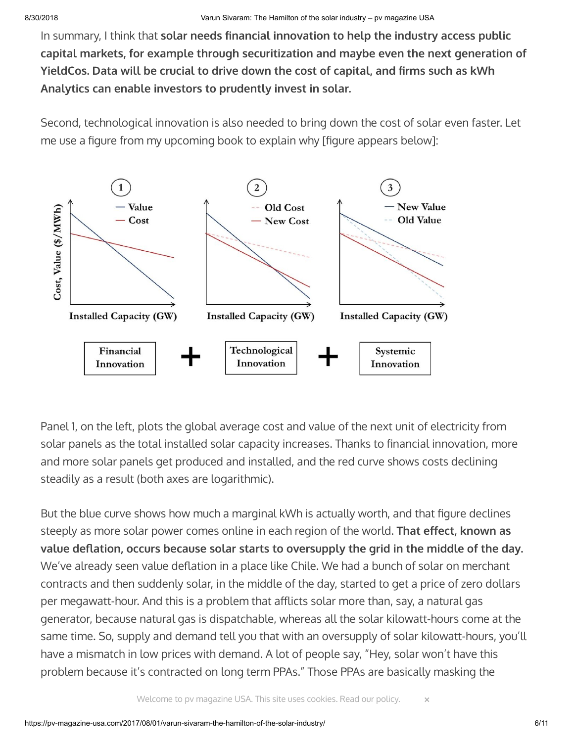In summary, I think that **solar needs financial innovation to help the industry access public capital markets, for example through securitization and maybe even the next generation of** YieldCos. Data will be crucial to drive down the cost of capital, and firms such as kWh **Analytics can enable investors to prudently invest in solar.**

Second, technological innovation is also needed to bring down the cost of solar even faster. Let me use a figure from my upcoming book to explain why [figure appears below]:



Panel 1, on the left, plots the global average cost and value of the next unit of electricity from solar panels as the total installed solar capacity increases. Thanks to financial innovation, more and more solar panels get produced and installed, and the red curve shows costs declining steadily as a result (both axes are logarithmic).

But the blue curve shows how much a marginal kWh is actually worth, and that figure declines steeply as more solar power comes online in each region of the world. **That effect, known as** value deflation, occurs because solar starts to oversupply the grid in the middle of the day. We've already seen value deflation in a place like Chile. We had a bunch of solar on merchant contracts and then suddenly solar, in the middle of the day, started to get a price of zero dollars per megawatt-hour. And this is a problem that afflicts solar more than, say, a natural gas generator, because natural gas is dispatchable, whereas all the solar kilowatt-hours come at the same time. So, supply and demand tell you that with an oversupply of solar kilowatt-hours, you'll have a mismatch in low prices with demand. A lot of people say, "Hey, solar won't have this problem because it's contracted on long term PPAs." Those PPAs are basically masking the

Welcome to pv magazine USA. This site uses cookies. [Read our policy.](https://www.pv-magazine.com/privacy-policy/) **×**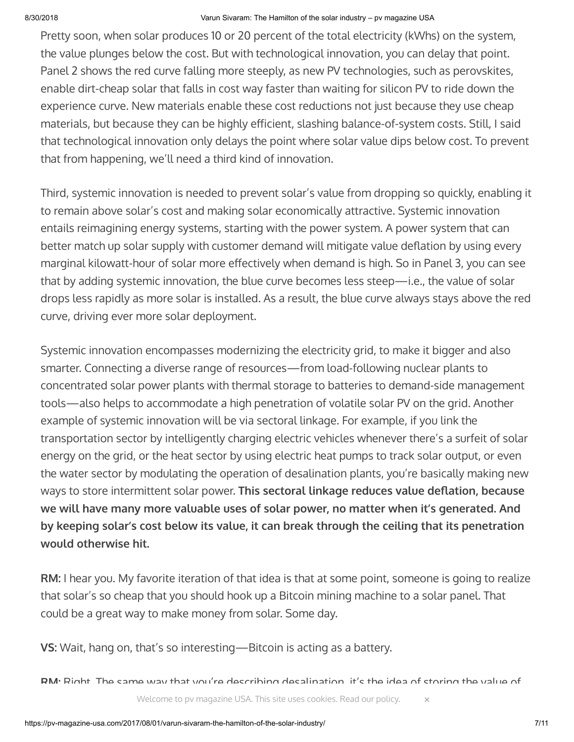#### 8/30/2018 Varun Sivaram: The Hamilton of the solar industry – pv magazine USA

Pretty soon, when solar produces 10 or 20 percent of the total electricity (kWhs) on the system, the value plunges below the cost. But with technological innovation, you can delay that point. Panel 2 shows the red curve falling more steeply, as new PV technologies, such as perovskites, enable dirt-cheap solar that falls in cost way faster than waiting for silicon PV to ride down the experience curve. New materials enable these cost reductions not just because they use cheap materials, but because they can be highly efficient, slashing balance-of-system costs. Still, I said that technological innovation only delays the point where solar value dips below cost. To prevent that from happening, we'll need a third kind of innovation.

Third, systemic innovation is needed to prevent solar's value from dropping so quickly, enabling it to remain above solar's cost and making solar economically attractive. Systemic innovation entails reimagining energy systems, starting with the power system. A power system that can better match up solar supply with customer demand will mitigate value deflation by using every marginal kilowatt-hour of solar more effectively when demand is high. So in Panel 3, you can see that by adding systemic innovation, the blue curve becomes less steep—i.e., the value of solar drops less rapidly as more solar is installed. As a result, the blue curve always stays above the red curve, driving ever more solar deployment.

Systemic innovation encompasses modernizing the electricity grid, to make it bigger and also smarter. Connecting a diverse range of resources—from load-following nuclear plants to concentrated solar power plants with thermal storage to batteries to demand-side management tools—also helps to accommodate a high penetration of volatile solar PV on the grid. Another example of systemic innovation will be via sectoral linkage. For example, if you link the transportation sector by intelligently charging electric vehicles whenever there's a surfeit of solar energy on the grid, or the heat sector by using electric heat pumps to track solar output, or even the water sector by modulating the operation of desalination plants, you're basically making new ways to store intermittent solar power. This sectoral linkage reduces value deflation, because **we will have many more valuable uses of solar power, no matter when it's generated. And by keeping solar's cost below its value, it can break through the ceiling that its penetration would otherwise hit.**

**RM:** I hear you. My favorite iteration of that idea is that at some point, someone is going to realize that solar's so cheap that you should hook up a Bitcoin mining machine to a solar panel. That could be a great way to make money from solar. Some day.

**VS:** Wait, hang on, that's so interesting—Bitcoin is acting as a battery.

**RM:** Right. The same way that you're describing desalination, it's the idea of storing the value of

Welcome to pv magazine USA. This site uses cookies. [Read our policy.](https://www.pv-magazine.com/privacy-policy/)  $\times$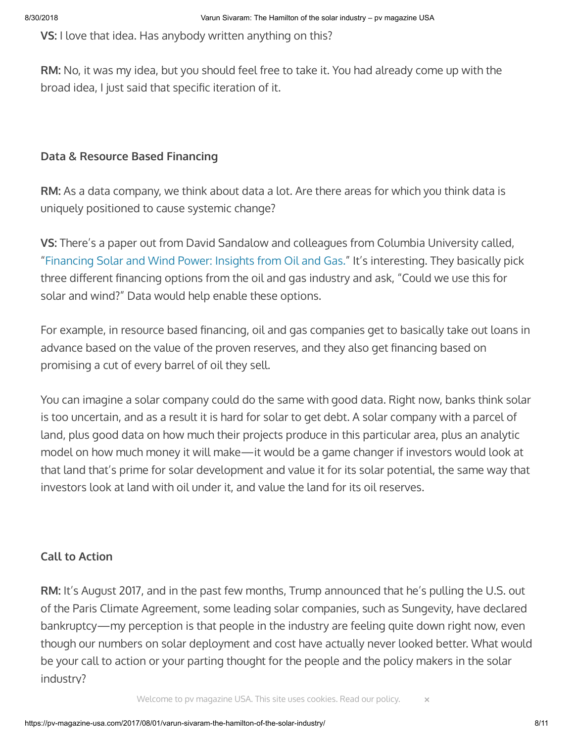**VS:** I love that idea. Has anybody written anything on this?

**RM:** No, it was my idea, but you should feel free to take it. You had already come up with the broad idea, I just said that specific iteration of it.

# **Data & Resource Based Financing**

**RM:** As a data company, we think about data a lot. Are there areas for which you think data is uniquely positioned to cause systemic change?

**VS:** There's a paper out from David Sandalow and colleagues from Columbia University called, ["Financing Solar and Wind Power: Insights from Oil and Gas."](http://energypolicy.columbia.edu/publications/report/financing-solar-and-wind-power-insights-oil-and-gas) It's interesting. They basically pick three different financing options from the oil and gas industry and ask, "Could we use this for solar and wind?" Data would help enable these options.

For example, in resource based financing, oil and gas companies get to basically take out loans in advance based on the value of the proven reserves, and they also get financing based on promising a cut of every barrel of oil they sell.

You can imagine a solar company could do the same with good data. Right now, banks think solar is too uncertain, and as a result it is hard for solar to get debt. A solar company with a parcel of land, plus good data on how much their projects produce in this particular area, plus an analytic model on how much money it will make—it would be a game changer if investors would look at that land that's prime for solar development and value it for its solar potential, the same way that investors look at land with oil under it, and value the land for its oil reserves.

# **Call to Action**

**RM:** It's August 2017, and in the past few months, Trump announced that he's pulling the U.S. out of the Paris Climate Agreement, some leading solar companies, such as Sungevity, have declared bankruptcy—my perception is that people in the industry are feeling quite down right now, even though our numbers on solar deployment and cost have actually never looked better. What would be your call to action or your parting thought for the people and the policy makers in the solar industry?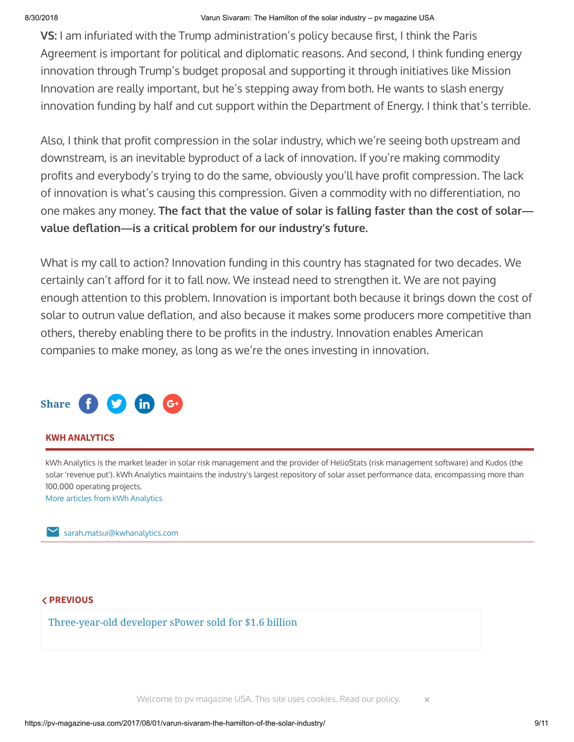**VS:** I am infuriated with the Trump administration's policy because first, I think the Paris Agreement is important for political and diplomatic reasons. And second, I think funding energy innovation through Trump's budget proposal and supporting it through initiatives like Mission Innovation are really important, but he's stepping away from both. He wants to slash energy innovation funding by half and cut support within the Department of Energy. I think that's terrible.

Also, I think that profit compression in the solar industry, which we're seeing both upstream and downstream, is an inevitable byproduct of a lack of innovation. If you're making commodity profits and everybody's trying to do the same, obviously you'll have profit compression. The lack of innovation is what's causing this compression. Given a commodity with no differentiation, no one makes any money. **The fact that the value of solar is falling faster than the cost of solar** value deflation-is a critical problem for our industry's future.

What is my call to action? Innovation funding in this country has stagnated for two decades. We certainly can't afford for it to fall now. We instead need to strengthen it. We are not paying enough attention to this problem. Innovation is important both because it brings down the cost of solar to outrun value deflation, and also because it makes some producers more competitive than others, thereby enabling there to be profits in the industry. Innovation enables American companies to make money, as long as we're the ones investing in innovation.



#### **KWH ANALYTICS**

kWh Analytics is the market leader in solar risk management and the provider of HelioStats (risk management software) and Kudos (the solar 'revenue put'). kWh Analytics maintains the industry's largest repository of solar asset performance data, encompassing more than 100,000 operating projects.

More articles from kWh [Analytics](https://pv-magazine-usa.com/author/sarahmatsui/)

[sarah.matsui@kwhanalytics.com](mailto:sarah.matsui@kwhanalytics.com)

# **PREVIOUS**

[Three-year-old developer sPower sold for \\$1.6 billion](https://pv-magazine-usa.com/2017/08/01/three-year-old-developer-spower-sold-for-1-6-billion/)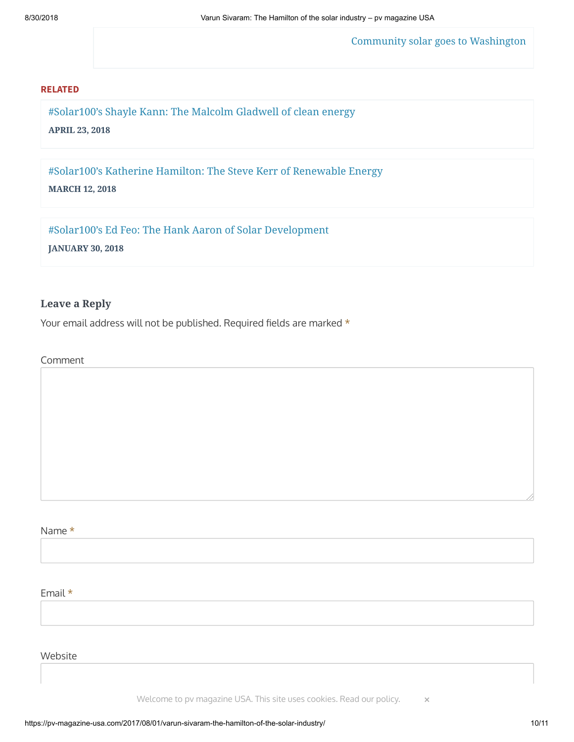[Community solar goes to Washington](https://pv-magazine-usa.com/2017/08/01/community-solar-goes-to-washington/)

#### **RELATED**

#Solar100's Shayle Kann: The Malcolm [Gladwell of](https://pv-magazine-usa.com/2018/04/23/solar100s-shayle-kann-the-malcolm-gladwell-of-clean-energy/) clean energy **APRIL 23, 2018**

[#Solar100's](https://pv-magazine-usa.com/2018/03/12/solar100s-katherine-hamilton-the-steve-kerr-of-renewable-energy/) Katherine Hamilton: The Steve Kerr of Renewable Energy

**MARCH 12, 2018**

#Solar100's Ed Feo: The Hank Aaron of [Solar Development](https://pv-magazine-usa.com/2018/01/30/solar100s-ed-feo-the-hank-aaron-of-solar-development/)

**JANUARY 30, 2018**

#### **Leave a Reply**

Your email address will not be published. Required fields are marked  $*$ 

Comment

Name \*

Email \*

Website